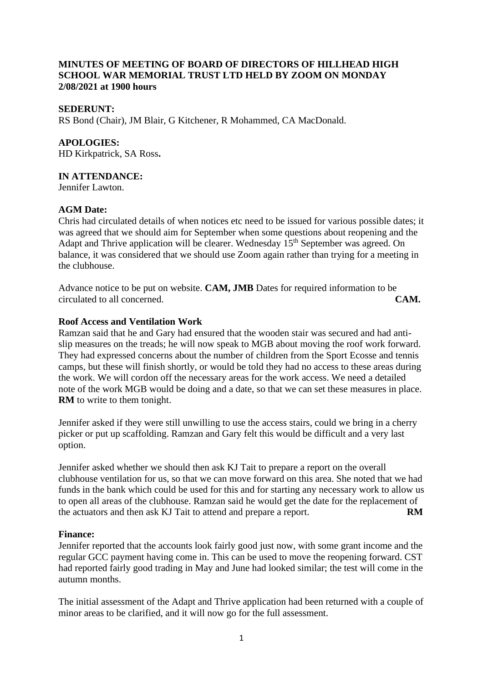## **MINUTES OF MEETING OF BOARD OF DIRECTORS OF HILLHEAD HIGH SCHOOL WAR MEMORIAL TRUST LTD HELD BY ZOOM ON MONDAY 2/08/2021 at 1900 hours**

## **SEDERUNT:**

RS Bond (Chair), JM Blair, G Kitchener, R Mohammed, CA MacDonald.

## **APOLOGIES:**

HD Kirkpatrick, SA Ross**.**

## **IN ATTENDANCE:**

Jennifer Lawton.

#### **AGM Date:**

Chris had circulated details of when notices etc need to be issued for various possible dates; it was agreed that we should aim for September when some questions about reopening and the Adapt and Thrive application will be clearer. Wednesday 15<sup>th</sup> September was agreed. On balance, it was considered that we should use Zoom again rather than trying for a meeting in the clubhouse.

Advance notice to be put on website. **CAM, JMB** Dates for required information to be circulated to all concerned. **CAM.**

#### **Roof Access and Ventilation Work**

Ramzan said that he and Gary had ensured that the wooden stair was secured and had antislip measures on the treads; he will now speak to MGB about moving the roof work forward. They had expressed concerns about the number of children from the Sport Ecosse and tennis camps, but these will finish shortly, or would be told they had no access to these areas during the work. We will cordon off the necessary areas for the work access. We need a detailed note of the work MGB would be doing and a date, so that we can set these measures in place. **RM** to write to them tonight.

Jennifer asked if they were still unwilling to use the access stairs, could we bring in a cherry picker or put up scaffolding. Ramzan and Gary felt this would be difficult and a very last option.

Jennifer asked whether we should then ask KJ Tait to prepare a report on the overall clubhouse ventilation for us, so that we can move forward on this area. She noted that we had funds in the bank which could be used for this and for starting any necessary work to allow us to open all areas of the clubhouse. Ramzan said he would get the date for the replacement of the actuators and then ask KJ Tait to attend and prepare a report. **RM**

#### **Finance:**

Jennifer reported that the accounts look fairly good just now, with some grant income and the regular GCC payment having come in. This can be used to move the reopening forward. CST had reported fairly good trading in May and June had looked similar; the test will come in the autumn months.

The initial assessment of the Adapt and Thrive application had been returned with a couple of minor areas to be clarified, and it will now go for the full assessment.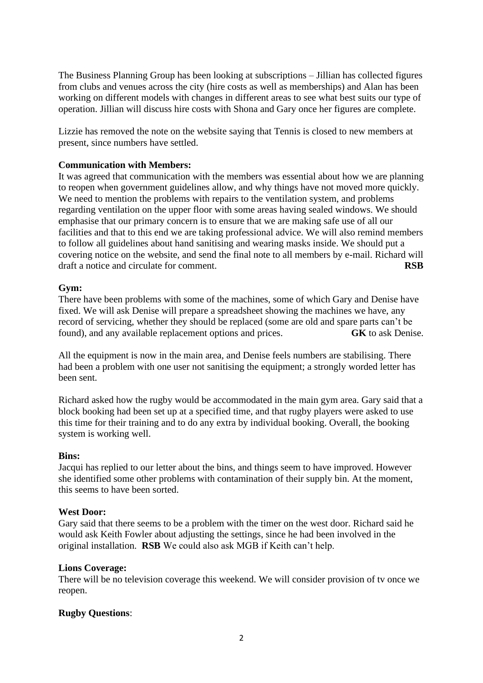The Business Planning Group has been looking at subscriptions – Jillian has collected figures from clubs and venues across the city (hire costs as well as memberships) and Alan has been working on different models with changes in different areas to see what best suits our type of operation. Jillian will discuss hire costs with Shona and Gary once her figures are complete.

Lizzie has removed the note on the website saying that Tennis is closed to new members at present, since numbers have settled.

## **Communication with Members:**

It was agreed that communication with the members was essential about how we are planning to reopen when government guidelines allow, and why things have not moved more quickly. We need to mention the problems with repairs to the ventilation system, and problems regarding ventilation on the upper floor with some areas having sealed windows. We should emphasise that our primary concern is to ensure that we are making safe use of all our facilities and that to this end we are taking professional advice. We will also remind members to follow all guidelines about hand sanitising and wearing masks inside. We should put a covering notice on the website, and send the final note to all members by e-mail. Richard will draft a notice and circulate for comment. **RSB**

#### **Gym:**

There have been problems with some of the machines, some of which Gary and Denise have fixed. We will ask Denise will prepare a spreadsheet showing the machines we have, any record of servicing, whether they should be replaced (some are old and spare parts can't be found), and any available replacement options and prices. **GK** to ask Denise.

All the equipment is now in the main area, and Denise feels numbers are stabilising. There had been a problem with one user not sanitising the equipment; a strongly worded letter has been sent.

Richard asked how the rugby would be accommodated in the main gym area. Gary said that a block booking had been set up at a specified time, and that rugby players were asked to use this time for their training and to do any extra by individual booking. Overall, the booking system is working well.

#### **Bins:**

Jacqui has replied to our letter about the bins, and things seem to have improved. However she identified some other problems with contamination of their supply bin. At the moment, this seems to have been sorted.

#### **West Door:**

Gary said that there seems to be a problem with the timer on the west door. Richard said he would ask Keith Fowler about adjusting the settings, since he had been involved in the original installation. **RSB** We could also ask MGB if Keith can't help.

#### **Lions Coverage:**

There will be no television coverage this weekend. We will consider provision of tv once we reopen.

#### **Rugby Questions**: